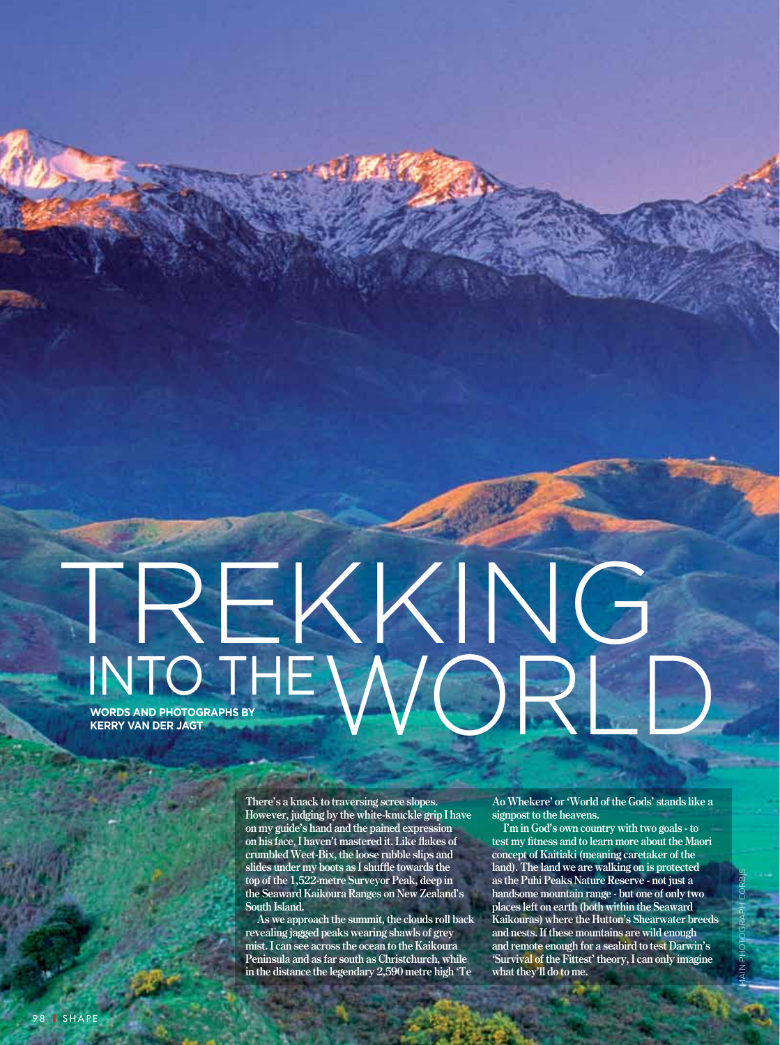## INTO THE **WORDS AND PHOTOGRAPHS BY**  KERRY VAN DER JAGT<br>KERRY VAN DER JAGT TREKKING

**There's a knack to traversing scree slopes. However, judging by the white-knuckle grip I have on my guide's hand and the pained expression on his face, I haven't mastered it. Like flakes of crumbled Weet-Bix, the loose rubble slips and slides under my boots as I shuffle towards the top of the 1,522-metre Surveyor Peak, deep in the Seaward Kaikoura Ranges on New Zealand's South Island.**

**As we approach the summit, the clouds roll back revealing jagged peaks wearing shawls of grey mist. I can see across the ocean to the Kaikoura Peninsula and as far south as Christchurch, while in the distance the legendary 2,590 metre high 'Te** 

**Ao Whekere' or 'World of the Gods' stands like a signpost to the heavens.**

**I'm in God's own country with two goals - to test my fitness and to learn more about the Maori concept of Kaitiaki (meaning caretaker of the land). The land we are walking on is protected as the Puhi Peaks Nature Reserve - not just a handsome mountain range - but one of only two places left on earth (both within the Seaward Kaikouras) where the Hutton's Shearwater breeds and nests. If these mountains are wild enough and remote enough for a seabird to test Darwin's 'Survival of the Fittest' theory, I can only imagine what they'll do to me.**

MAIN PHOTOGRAPH CORBIS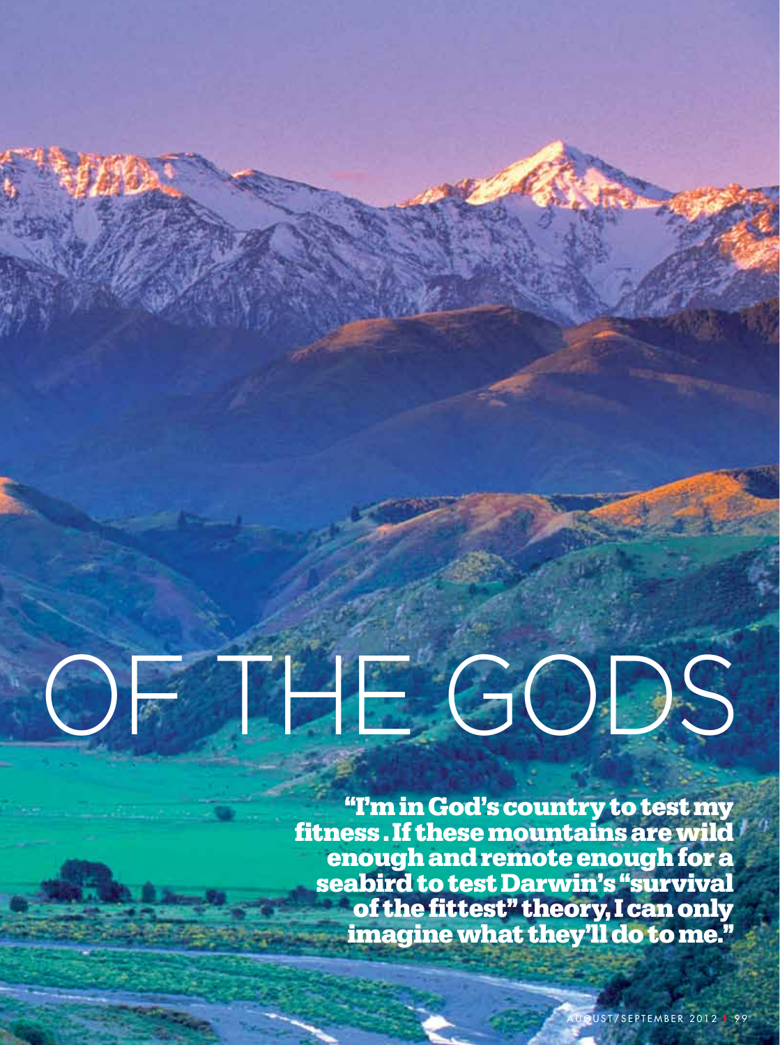# OF THE GODS

**"I'm in God's country to test my fitness . If these mountains are wild enough and remote enough for a seabird to test Darwin's "survival of the fittest" theory, I can only imagine what they'll do to me."**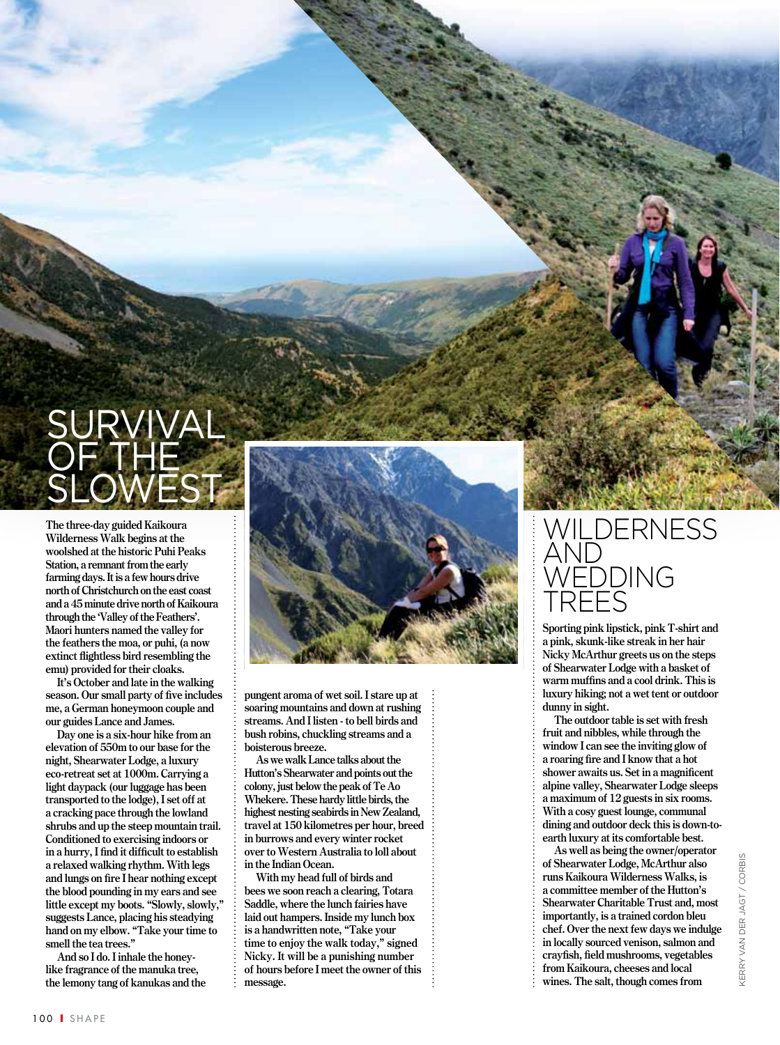

**The three-day guided Kaikoura Wilderness Walk begins at the woolshed at the historic Puhi Peaks Station, a remnant from the early farming days. It is a few hours drive north of Christchurch on the east coast and a 45 minute drive north of Kaikoura through the 'Valley of the Feathers'. Maori hunters named the valley for the feathers the moa, or puhi, (a now extinct flightless bird resembling the emu) provided for their cloaks.** 

**It's October and late in the walking season. Our small party of five includes me, a German honeymoon couple and our guides Lance and James.** 

**Day one is a six-hour hike from an elevation of 550m to our base for the night, Shearwater Lodge, a luxury eco-retreat set at 1000m. Carrying a light daypack (our luggage has been transported to the lodge), I set off at a cracking pace through the lowland shrubs and up the steep mountain trail. Conditioned to exercising indoors or in a hurry, I find it difficult to establish a relaxed walking rhythm. With legs and lungs on fire I hear nothing except the blood pounding in my ears and see little except my boots. "Slowly, slowly," suggests Lance, placing his steadying hand on my elbow. "Take your time to smell the tea trees."** 

**And so I do. I inhale the honeylike fragrance of the manuka tree, the lemony tang of kanukas and the** 



**pungent aroma of wet soil. I stare up at soaring mountains and down at rushing streams. And I listen - to bell birds and bush robins, chuckling streams and a boisterous breeze.** 

**As we walk Lance talks about the Hutton's Shearwater and points out the colony, just below the peak of Te Ao Whekere. These hardy little birds, the highest nesting seabirds in New Zealand, travel at 150 kilometres per hour, breed in burrows and every winter rocket over to Western Australia to loll about in the Indian Ocean.**

**With my head full of birds and bees we soon reach a clearing, Totara Saddle, where the lunch fairies have laid out hampers. Inside my lunch box is a handwritten note, "Take your time to enjoy the walk today," signed Nicky. It will be a punishing number of hours before I meet the owner of this message.**

#### WILDERNE n d edding tree s

**Sporting pink lipstick, pink T-shirt and a pink, skunk-like streak in her hair Nicky McArthur greets us on the steps of Shearwater Lodge with a basket of warm muffins and a cool drink. This is luxury hiking; not a wet tent or outdoor dunny in sight.** 

**The outdoor table is set with fresh fruit and nibbles, while through the window I can see the inviting glow of a roaring fire and I know that a hot shower awaits us. Set in a magnificent alpine valley, Shearwater Lodge sleeps a maximum of 12 guests in six rooms. With a cosy guest lounge, communal dining and outdoor deck this is down-toearth luxury at its comfortable best.** 

**As well as being the owner/operator of Shearwater Lodge, McArthur also runs Kaikoura Wilderness Walks, is a committee member of the Hutton's Shearwater Charitable Trust and, most importantly, is a trained cordon bleu chef. Over the next few days we indulge in locally sourced venison, salmon and crayfish, field mushrooms, vegetables from Kaikoura, cheeses and local wines. The salt, though comes from**